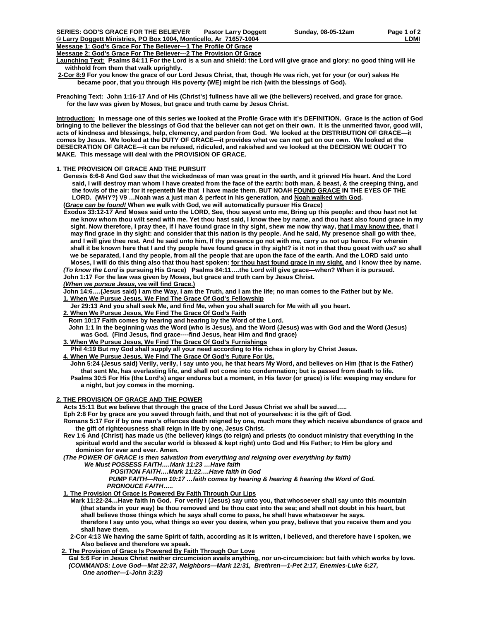**Message 2: God's Grace For The Believer---2 The Provision Of Grace**

**Launching Text: Psalms 84:11 For the Lord is a sun and shield: the Lord will give grace and glory: no good thing will He withhold from them that walk uprightly.** 

**2-Cor 8:9 For you know the grace of our Lord Jesus Christ, that, though He was rich, yet for your (or our) sakes He became poor, that you through His poverty (WE) might be rich (with the blessings of God).** 

**Preaching Text: John 1:16-17 And of His (Christ's) fullness have all we (the believers) received, and grace for grace. for the law was given by Moses, but grace and truth came by Jesus Christ.** 

**Introduction: In message one of this series we looked at the Profile Grace with it's DEFINITION. Grace is the action of God bringing to the believer the blessings of God that the believer can not get on their own. It is the unmerited favor, good will, acts of kindness and blessings, help, clemency, and pardon from God. We looked at the DISTRIBUTION OF GRACE—it comes by Jesus. We looked at the DUTY OF GRACE—it provides what we can not get on our own. We looked at the DESECRATION OF GRACE—it can be refused, ridiculed, and rakished and we looked at the DECISION WE OUGHT TO MAKE. This message will deal with the PROVISION OF GRACE.** 

### **1. THE PROVISION OF GRACE AND THE PURSUIT**

- **Genesis 6:6-8 And God saw that the wickedness of man was great in the earth, and it grieved His heart. And the Lord said, I will destroy man whom I have created from the face of the earth: both man, & beast, & the creeping thing, and the fowls of the air: for it repenteth Me that I have made them. BUT NOAH FOUND GRACE IN THE EYES OF THE LORD. (WHY?) V9 …Noah was a just man & perfect in his generation, and Noah walked with God. (***Grace can be found!* **When we walk with God, we will automatically pursuer His Grace)**
- **Exodus 33:12-17 And Moses said unto the LORD, See, thou sayest unto me, Bring up this people: and thou hast not let me know whom thou wilt send with me. Yet thou hast said, I know thee by name, and thou hast also found grace in my**  sight. Now therefore, I pray thee, if I have found grace in thy sight, shew me now thy way, that I may know thee, that I  **may find grace in thy sight: and consider that this nation is thy people. And he said, My presence shall go with thee, and I will give thee rest. And he said unto him, If thy presence go not with me, carry us not up hence. For wherein shall it be known here that I and thy people have found grace in thy sight? is it not in that thou goest with us? so shall we be separated, I and thy people, from all the people that are upon the face of the earth. And the LORD said unto**  Moses, I will do this thing also that thou hast spoken: for thou hast found grace in my sight, and I know thee by name.

*(To know the Lord* **is pursuing His Grace) Psalms 84:11….the Lord will give grace---when? When it is pursued. John 1:17 For the law was given by Moses, but grace and truth cam by Jesus Christ.** 

*(When we pursue Jesus***, we will find Grace.)**

 **John 14:6….(Jesus said) I am the Way, I am the Truth, and I am the life; no man comes to the Father but by Me.** 

 **1. When We Pursue Jesus, We Find The Grace Of God's Fellowship**

 **Jer 29:13 And you shall seek Me, and find Me, when you shall search for Me with all you heart.** 

 **2. When We Pursue Jesus, We Find The Grace Of God's Faith**

 **Rom 10:17 Faith comes by hearing and hearing by the Word of the Lord.** 

 **John 1:1 In the beginning was the Word (who is Jesus), and the Word (Jesus) was with God and the Word (Jesus) was God. (Find Jesus, find grace----find Jesus, hear Him and find grace)** 

 **3. When We Pursue Jesus, We Find The Grace Of God's Furnishings**

 **Phil 4:19 But my God shall supply all your need according to His riches in glory by Christ Jesus.** 

 **4. When We Pursue Jesus, We Find The Grace Of God's Future For Us.**

 **John 5:24 (Jesus said) Verily, verily, I say unto you, he that hears My Word, and believes on Him (that is the Father) that sent Me, has everlasting life, and shall not come into condemnation; but is passed from death to life. Psalms 30:5 For His (the Lord's) anger endures but a moment, in His favor (or grace) is life: weeping may endure for a night, but joy comes in the morning.** 

# **2. THE PROVISION OF GRACE AND THE POWER**

 **Acts 15:11 But we believe that through the grace of the Lord Jesus Christ we shall be saved…..** 

 **Eph 2:8 For by grace are you saved through faith, and that not of yourselves: it is the gift of God.** 

 **Romans 5:17 For if by one man's offences death reigned by one, much more they which receive abundance of grace and the gift of righteousness shall reign in life by one, Jesus Christ.** 

 **Rev 1:6 And (Christ) has made us (the believer) kings (to reign) and priests (to conduct ministry that everything in the spiritual world and the secular world is blessed & kept right) unto God and His Father; to Him be glory and dominion for ever and ever. Amen.** 

*(The POWER OF GRACE is then salvation from everything and reigning over everything by faith) We Must POSSESS FAITH….Mark 11:23 …Have faith* 

 *POSITION FAITH….Mark 11:22….Have faith in God* 

 *PUMP FAITH—Rom 10:17 …faith comes by hearing & hearing & hearing the Word of God. PRONOUCE FAITH…..* 

 **1. The Provision Of Grace Is Powered By Faith Through Our Lips**

 **Mark 11:22-24…Have faith in God. For verily I (Jesus) say unto you, that whosoever shall say unto this mountain (that stands in your way) be thou removed and be thou cast into the sea; and shall not doubt in his heart, but shall believe those things which he says shall come to pass, he shall have whatsoever he says. therefore I say unto you, what things so ever you desire, when you pray, believe that you receive them and you shall have them.** 

 **2-Cor 4:13 We having the same Spirit of faith, according as it is written, I believed, and therefore have I spoken, we Also believe and therefore we speak.** 

 **2. The Provision of Grace Is Powered By Faith Through Our Love**

 **Gal 5:6 For in Jesus Christ neither circumcision avails anything, nor un-circumcision: but faith which works by love.** *(COMMANDS: Love God—Mat 22:37, Neighbors—Mark 12:31, Brethren—1-Pet 2:17, Enemies-Luke 6:27, One another—1-John 3:23)*